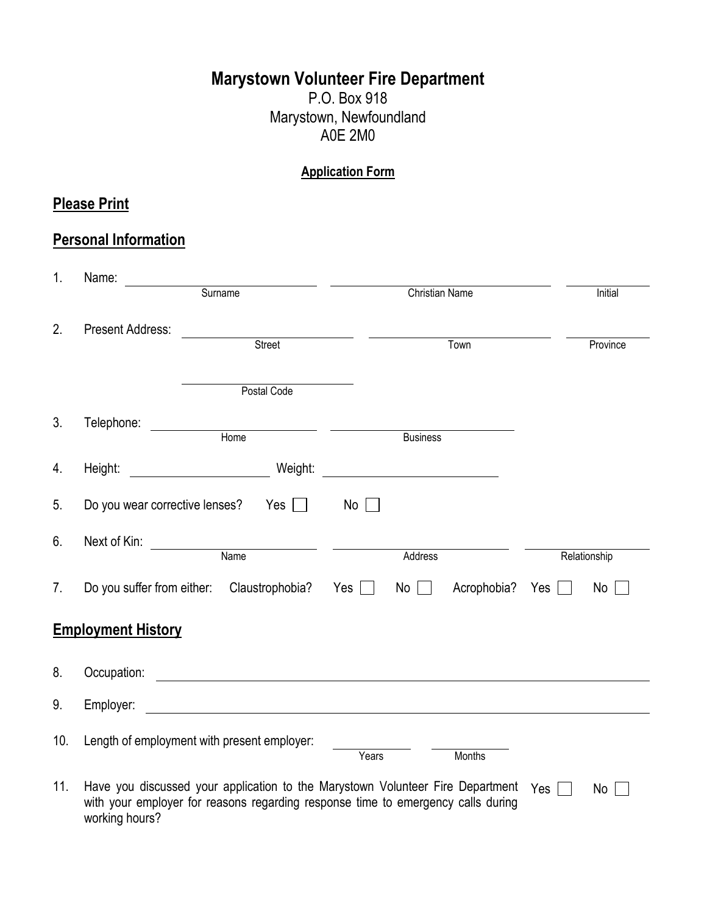# **Marystown Volunteer Fire Department**

P.O. Box 918 Marystown, Newfoundland A0E 2M0

#### **Application Form**

## **Please Print**

## **Personal Information**

| 1.             | Name:                                                                                              |                                                               |            |                       |                        |              |
|----------------|----------------------------------------------------------------------------------------------------|---------------------------------------------------------------|------------|-----------------------|------------------------|--------------|
|                |                                                                                                    | Surname                                                       |            | <b>Christian Name</b> |                        | Initial      |
| 2.             | <b>Present Address:</b>                                                                            |                                                               |            |                       |                        |              |
|                |                                                                                                    | Street                                                        |            |                       | Town                   | Province     |
|                |                                                                                                    |                                                               |            |                       |                        |              |
|                |                                                                                                    | Postal Code                                                   |            |                       |                        |              |
| 3.             | Telephone:                                                                                         | <u> 1989 - Jan James Sand, amerikan personal (h. 1989)</u>    |            |                       |                        |              |
|                |                                                                                                    | Home                                                          |            | <b>Business</b>       |                        |              |
| 4.             | Height:                                                                                            | Weight:                                                       |            |                       |                        |              |
| 5.             | Do you wear corrective lenses?                                                                     | $Yes$                                                         | No         |                       |                        |              |
| 6.             | Next of Kin:                                                                                       |                                                               |            |                       |                        |              |
|                |                                                                                                    | <b>Name</b>                                                   |            | Address               |                        | Relationship |
| 7 <sub>1</sub> | Do you suffer from either:                                                                         | Claustrophobia?                                               | Yes $\Box$ | No <sub>1</sub>       | Acrophobia? Yes $\Box$ | No           |
|                | <b>Employment History</b>                                                                          |                                                               |            |                       |                        |              |
| 8.             | Occupation:                                                                                        | <u> 1980 - Johann Barn, fransk politik fotograf (d. 1980)</u> |            |                       |                        |              |
| 9.             | Employer:                                                                                          |                                                               |            |                       |                        |              |
| 10.            | Length of employment with present employer:                                                        |                                                               | Years      |                       | Months                 |              |
| 11.            | Have you discussed your application to the Marystown Volunteer Fire Department $Y_{ES}$            |                                                               |            |                       |                        | No           |
|                | with your employer for reasons regarding response time to emergency calls during<br>working hours? |                                                               |            |                       |                        |              |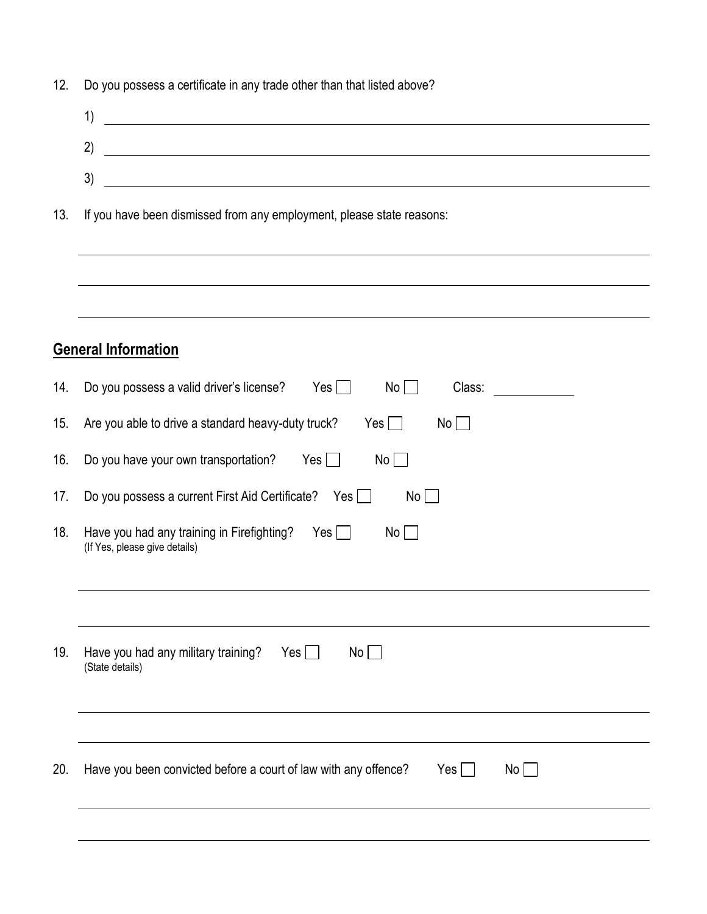| 12. | Do you possess a certificate in any trade other than that listed above? |  |  |  |
|-----|-------------------------------------------------------------------------|--|--|--|
|-----|-------------------------------------------------------------------------|--|--|--|

| 1)                                                                                                                         |
|----------------------------------------------------------------------------------------------------------------------------|
| 2)                                                                                                                         |
| 3)<br><u> 1989 - Andrea San Andrea San Andrea San Andrea San Andrea San Andrea San Andrea San Andrea San Andrea San A</u>  |
| If you have been dismissed from any employment, please state reasons:                                                      |
|                                                                                                                            |
| ,我们也不会有什么。""我们的人,我们也不会有什么?""我们的人,我们也不会有什么?""我们的人,我们也不会有什么?""我们的人,我们也不会有什么?""我们的人<br><b>General Information</b>             |
| Do you possess a valid driver's license?<br>$Yes$ $\Box$<br>Class:<br>$No$ $\Box$<br><u> a shekara ta 1999 a shekara t</u> |
| Are you able to drive a standard heavy-duty truck?<br>Yes $\Box$<br>No<br>$\vert \ \ \vert$                                |
| Do you have your own transportation? Yes $\Box$<br>No                                                                      |
| Do you possess a current First Aid Certificate? Yes<br>$No$ $\Box$                                                         |
| Have you had any training in Firefighting? Yes $\Box$<br>No<br>(If Yes, please give details)                               |
|                                                                                                                            |

| 19. | Have you had any military training?<br>(State details)          | Yes $\Box$ | $No$ $ $ |            |           |
|-----|-----------------------------------------------------------------|------------|----------|------------|-----------|
| 20. | Have you been convicted before a court of law with any offence? |            |          | $Yes \Box$ | $No \Box$ |

# General **General**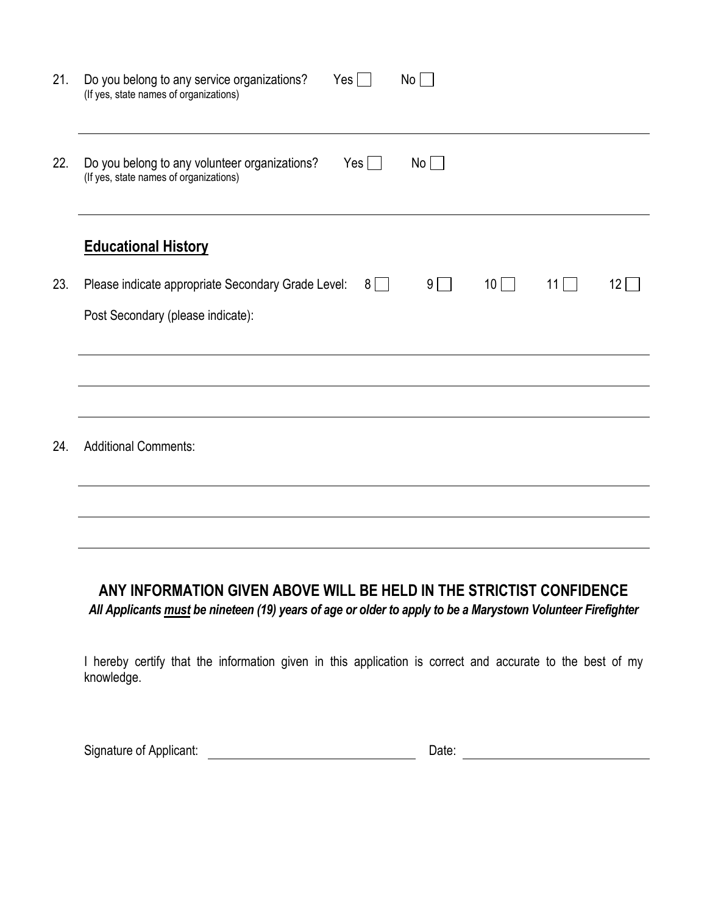| 21. | Do you belong to any service organizations?<br>$Yes$ $\Box$<br>No<br>(If yes, state names of organizations)   |
|-----|---------------------------------------------------------------------------------------------------------------|
| 22. | No<br>Do you belong to any volunteer organizations?<br>$Yes$ $\Box$<br>(If yes, state names of organizations) |
|     | <b>Educational History</b>                                                                                    |
| 23. | Please indicate appropriate Secondary Grade Level:<br>$9 \mid$<br>10<br>11<br>$8$    <br>$12$                 |
|     | Post Secondary (please indicate):                                                                             |
|     |                                                                                                               |
|     |                                                                                                               |
| 24. | <b>Additional Comments:</b>                                                                                   |
|     |                                                                                                               |
|     |                                                                                                               |

### **ANY INFORMATION GIVEN ABOVE WILL BE HELD IN THE STRICTIST CONFIDENCE** *All Applicants must be nineteen (19) years of age or older to apply to be a Marystown Volunteer Firefighter*

I hereby certify that the information given in this application is correct and accurate to the best of my knowledge.

Signature of Applicant: Date: